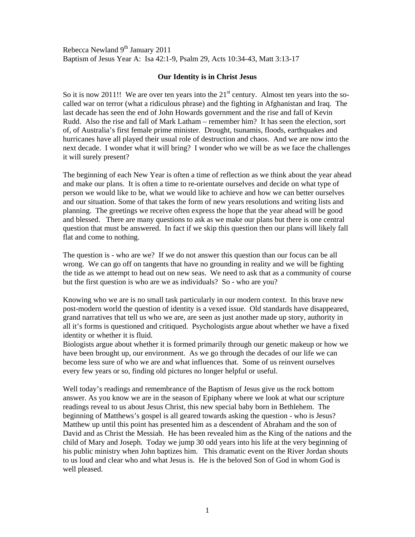Rebecca Newland 9<sup>th</sup> January 2011 Baptism of Jesus Year A: Isa 42:1-9, Psalm 29, Acts 10:34-43, Matt 3:13-17

## **Our Identity is in Christ Jesus**

So it is now 2011!! We are over ten years into the  $21<sup>st</sup>$  century. Almost ten years into the socalled war on terror (what a ridiculous phrase) and the fighting in Afghanistan and Iraq. The last decade has seen the end of John Howards government and the rise and fall of Kevin Rudd. Also the rise and fall of Mark Latham – remember him? It has seen the election, sort of, of Australia's first female prime minister. Drought, tsunamis, floods, earthquakes and hurricanes have all played their usual role of destruction and chaos. And we are now into the next decade. I wonder what it will bring? I wonder who we will be as we face the challenges it will surely present?

The beginning of each New Year is often a time of reflection as we think about the year ahead and make our plans. It is often a time to re-orientate ourselves and decide on what type of person we would like to be, what we would like to achieve and how we can better ourselves and our situation. Some of that takes the form of new years resolutions and writing lists and planning. The greetings we receive often express the hope that the year ahead will be good and blessed. There are many questions to ask as we make our plans but there is one central question that must be answered. In fact if we skip this question then our plans will likely fall flat and come to nothing.

The question is - who are we? If we do not answer this question than our focus can be all wrong. We can go off on tangents that have no grounding in reality and we will be fighting the tide as we attempt to head out on new seas. We need to ask that as a community of course but the first question is who are we as individuals? So - who are you?

Knowing who we are is no small task particularly in our modern context. In this brave new post-modern world the question of identity is a vexed issue. Old standards have disappeared, grand narratives that tell us who we are, are seen as just another made up story, authority in all it's forms is questioned and critiqued. Psychologists argue about whether we have a fixed identity or whether it is fluid.

Biologists argue about whether it is formed primarily through our genetic makeup or how we have been brought up, our environment. As we go through the decades of our life we can become less sure of who we are and what influences that. Some of us reinvent ourselves every few years or so, finding old pictures no longer helpful or useful.

Well today's readings and remembrance of the Baptism of Jesus give us the rock bottom answer. As you know we are in the season of Epiphany where we look at what our scripture readings reveal to us about Jesus Christ, this new special baby born in Bethlehem. The beginning of Matthews's gospel is all geared towards asking the question - who is Jesus? Matthew up until this point has presented him as a descendent of Abraham and the son of David and as Christ the Messiah. He has been revealed him as the King of the nations and the child of Mary and Joseph. Today we jump 30 odd years into his life at the very beginning of his public ministry when John baptizes him. This dramatic event on the River Jordan shouts to us loud and clear who and what Jesus is. He is the beloved Son of God in whom God is well pleased.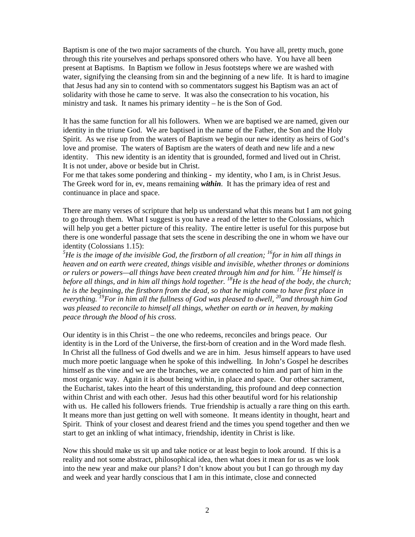Baptism is one of the two major sacraments of the church. You have all, pretty much, gone through this rite yourselves and perhaps sponsored others who have. You have all been present at Baptisms. In Baptism we follow in Jesus footsteps where we are washed with water, signifying the cleansing from sin and the beginning of a new life. It is hard to imagine that Jesus had any sin to contend with so commentators suggest his Baptism was an act of solidarity with those he came to serve. It was also the consecration to his vocation, his ministry and task. It names his primary identity – he is the Son of God.

It has the same function for all his followers. When we are baptised we are named, given our identity in the triune God. We are baptised in the name of the Father, the Son and the Holy Spirit. As we rise up from the waters of Baptism we begin our new identity as heirs of God's love and promise. The waters of Baptism are the waters of death and new life and a new identity. This new identity is an identity that is grounded, formed and lived out in Christ. It is not under, above or beside but in Christ.

For me that takes some pondering and thinking - my identity, who I am, is in Christ Jesus. The Greek word for in, ev, means remaining *within*. It has the primary idea of rest and continuance in place and space.

There are many verses of scripture that help us understand what this means but I am not going to go through them. What I suggest is you have a read of the letter to the Colossians, which will help you get a better picture of this reality. The entire letter is useful for this purpose but there is one wonderful passage that sets the scene in describing the one in whom we have our identity (Colossians 1.15):

<sup>5</sup>He is the image of the invisible God, the firstborn of all creation; <sup>16</sup>for in him all things in *heaven and on earth were created, things visible and invisible, whether thrones or dominions or rulers or powers—all things have been created through him and for him. 17He himself is before all things, and in him all things hold together.* <sup>18</sup>He is the head of the body, the church; *he is the beginning, the firstborn from the dead, so that he might come to have first place in everything. 19For in him all the fullness of God was pleased to dwell, 20and through him God was pleased to reconcile to himself all things, whether on earth or in heaven, by making peace through the blood of his cross.* 

Our identity is in this Christ – the one who redeems, reconciles and brings peace. Our identity is in the Lord of the Universe, the first-born of creation and in the Word made flesh. In Christ all the fullness of God dwells and we are in him. Jesus himself appears to have used much more poetic language when he spoke of this indwelling. In John's Gospel he describes himself as the vine and we are the branches, we are connected to him and part of him in the most organic way. Again it is about being within, in place and space. Our other sacrament, the Eucharist, takes into the heart of this understanding, this profound and deep connection within Christ and with each other. Jesus had this other beautiful word for his relationship with us. He called his followers friends. True friendship is actually a rare thing on this earth. It means more than just getting on well with someone. It means identity in thought, heart and Spirit. Think of your closest and dearest friend and the times you spend together and then we start to get an inkling of what intimacy, friendship, identity in Christ is like.

Now this should make us sit up and take notice or at least begin to look around. If this is a reality and not some abstract, philosophical idea, then what does it mean for us as we look into the new year and make our plans? I don't know about you but I can go through my day and week and year hardly conscious that I am in this intimate, close and connected